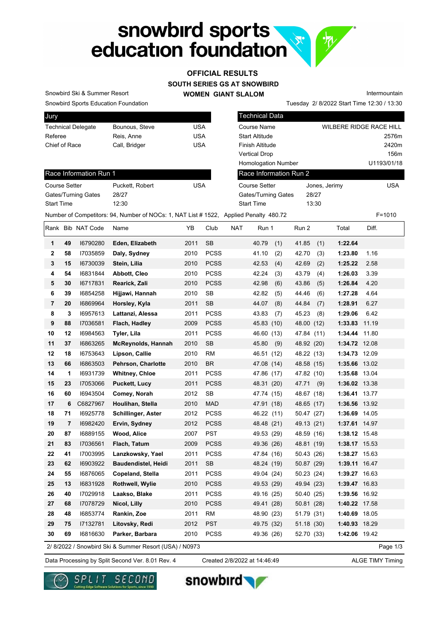

## **OFFICIAL RESULTS**

**SOUTH SERIES GS AT SNOWBIRD**

**WOMEN GIANT SLALOM**

Tuesday 2/ 8/2022 Start Time 12:30 / 13:30 Intermountain

Snowbird Sports Education Foundation Snowbird Ski & Summer Resort

Race Information Run 1

Gates/Turning Gates 28/27

| Jury                      |                |            |
|---------------------------|----------------|------------|
| <b>Technical Delegate</b> | Bounous, Steve | USA        |
| Referee                   | Reis, Anne     | USA        |
| Chief of Race             | Call, Bridger  | <b>USA</b> |
|                           |                |            |

Course Setter **Puckett, Robert USA** 

Technical Data Course Name WILBERE RIDGE RACE HILL Start Altitude 2576m Finish Altitude 2420m Vertical Drop 156m Homologation Number U1193/01/18 Jones, Jerimy USA Gates/Turning Gates 28/27 Start Time 13:30 Race Information Run 2 Course Setter

Start Time 12:30

Number of Competitors: 94, Number of NOCs: 1, NAT List # 1522, Applied Penalty 480.72 F=1010 Rank Bib NAT Code Name YB Club NAT Run 1 Run 2 Total Diff. **1 49** I6790280 **Eden, Elizabeth** 2011 SB 40.79 (1) 41.85 (1) **1:22.64 2 58** I7035859 **Daly, Sydney** 2010 PCSS 41.10 (2) 42.70 (3) **1:23.80** 1.16 **3 15** I6730039 **Stein, Lilia** 2010 PCSS 42.53 (4) 42.69 (2) **1:25.22** 2.58 **4 54** I6831844 **Abbott, Cleo** 2010 PCSS 42.24 (3) 43.79 (4) **1:26.03** 3.39 **5 30** I6717831 **Rearick, Zali** 2010 PCSS 42.98 (6) 43.86 (5) **1:26.84** 4.20 **6 39** I6854258 **Hijjawi, Hannah** 2010 SB 42.82 (5) 44.46 (6) **1:27.28** 4.64 **7 20** I6869964 **Horsley, Kyla** 2011 SB 44.07 (8) 44.84 (7) **1:28.91** 6.27 **8 3** I6957613 **Lattanzi, Alessa** 2011 PCSS 43.83 (7) 45.23 (8) **1:29.06** 6.42 **9 88** I7036581 **Flach, Hadley** 2009 PCSS 45.83 (10) 48.00 (12) **1:33.83** 11.19 **10 12** I6984563 **Tyler, Lila** 2011 PCSS 46.60 (13) 47.84 (11) **1:34.44** 11.80 **11 37** I6863265 **McReynolds, Hannah** 2010 SB 45.80 (9) 48.92 (20) **1:34.72** 12.08 **12 18** I6753643 **Lipson, Callie** 2010 RM 46.51 (12) 48.22 (13) **1:34.73** 12.09 **13 66** I6863503 **Pehrson, Charlotte** 2010 BR 47.08 (14) 48.58 (15) **1:35.66** 13.02 **14 1** I6931739 **Whitney, Chloe** 2011 PCSS 47.86 (17) 47.82 (10) **1:35.68** 13.04 **15 23** I7053066 **Puckett, Lucy** 2011 PCSS 48.31 (20) 47.71 (9) **1:36.02** 13.38 **16 60** I6943504 **Comey, Norah** 2012 SB 47.74 (15) 48.67 (18) **1:36.41** 13.77 **17 6** C6827967 **Houlihan, Stella** 2010 MAD 47.91 (18) 48.65 (17) **1:36.56** 13.92 **18 71** I6925778 **Schillinger, Aster** 2012 PCSS 46.22 (11) 50.47 (27) **1:36.69** 14.05 **19 7** I6982420 **Ervin, Sydney** 2012 PCSS 48.48 (21) 49.13 (21) **1:37.61** 14.97 **20 87** I6889155 **Wood, Alice** 2007 PST 49.53 (29) 48.59 (16) **1:38.12** 15.48 **21 83** I7036561 **Flach, Tatum** 2009 PCSS 49.36 (26) 48.81 (19) **1:38.17** 15.53 **22 41** I7003995 **Lanzkowsky, Yael** 2011 PCSS 47.84 (16) 50.43 (26) **1:38.27** 15.63 **23 62** I6903922 **Baudendistel, Heidi** 2011 SB 48.24 (19) 50.87 (29) **1:39.11** 16.47 **24 55** I6876065 **Copeland, Stella** 2011 PCSS 49.04 (24) 50.23 (24) **1:39.27** 16.63 **25 13** I6831928 **Rothwell, Wylie** 2010 PCSS 49.53 (29) 49.94 (23) **1:39.47** 16.83 **26 40** I7029918 **Laakso, Blake** 2011 PCSS 49.16 (25) 50.40 (25) **1:39.56** 16.92 **27 68** I7078729 **Nicol, Lilly** 2010 PCSS 49.41 (28) 50.81 (28) **1:40.22** 17.58 **28 48** I6853774 **Rankin, Zoe** 2011 RM 48.90 (23) 51.79 (31) **1:40.69** 18.05 **29 75** I7132781 **Litovsky, Redi** 2012 PST 49.75 (32) 51.18 (30) **1:40.93** 18.29 **30 69** I6816630 **Parker, Barbara** 2010 PCSS 49.36 (26) 52.70 (33) **1:42.06** 19.42 Page 1/3 2/ 8/2022 / Snowbird Ski & Summer Resort (USA) / N0973

Data Processing by Split Second Ver. 8.01 Rev. 4 Created 2/8/2022 at 14:46:49 ALGE TIMY Timing

Created 2/8/2022 at 14:46:49





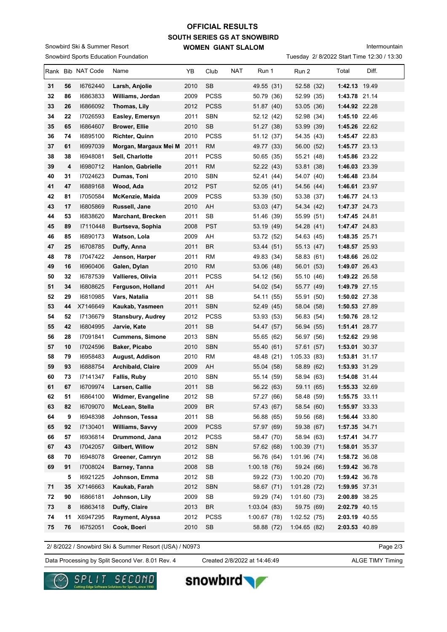## **SOUTH SERIES GS AT SNOWBIRD WOMEN GIANT SLALOM OFFICIAL RESULTS**

Snowbird Sports Education Foundation Snowbird Ski & Summer Resort

## Intermountain

Tuesday 2/ 8/2022 Start Time 12:30 / 13:30

|    |    | Rank Bib NAT Code | Name                       | YB   | Club                       | <b>NAT</b> | Run 1       | Run 2       | Total         | Diff. |
|----|----|-------------------|----------------------------|------|----------------------------|------------|-------------|-------------|---------------|-------|
| 31 | 56 | 16762440          | Larsh, Anjolie             | 2010 | <b>SB</b>                  |            | 49.55 (31)  | 52.58 (32)  | 1:42.13 19.49 |       |
| 32 | 86 | 16863833          | Williams, Jordan           | 2009 | <b>PCSS</b>                |            | 50.79 (36)  | 52.99 (35)  | 1:43.78 21.14 |       |
| 33 | 26 | 16866092          | Thomas, Lily               | 2012 | <b>PCSS</b>                |            | 51.87 (40)  | 53.05 (36)  | 1:44.92 22.28 |       |
| 34 | 22 | 17026593          | Easley, Emersyn            | 2011 | <b>SBN</b>                 |            | 52.12 (42)  | 52.98 (34)  | 1:45.10 22.46 |       |
| 35 | 65 | 16864607          | <b>Brower, Ellie</b>       | 2010 | <b>SB</b>                  |            | 51.27 (38)  | 53.99 (39)  | 1:45.26 22.62 |       |
| 36 | 74 | 16895100          | <b>Richter, Quinn</b>      | 2010 | <b>PCSS</b>                |            | 51.12 (37)  | 54.35 (43)  | 1:45.47 22.83 |       |
| 37 | 61 | 16997039          | Morgan, Margaux Mei M 2011 |      | <b>RM</b>                  |            | 49.77 (33)  | 56.00 (52)  | 1:45.77 23.13 |       |
| 38 | 38 | 16948081          | Sell, Charlotte            | 2011 | <b>PCSS</b>                |            | 50.65 (35)  | 55.21 (48)  | 1:45.86 23.22 |       |
| 39 | 4  | 16980712          | Hanlon, Gabrielle          | 2011 | <b>RM</b>                  |            | 52.22 (43)  | 53.81 (38)  | 1:46.03 23.39 |       |
| 40 | 31 | 17024623          | Dumas, Toni                | 2010 | <b>SBN</b>                 |            | 52.41 (44)  | 54.07 (40)  | 1:46.48 23.84 |       |
| 41 | 47 | 16889168          | Wood, Ada                  | 2012 | <b>PST</b>                 |            | 52.05(41)   | 54.56 (44)  | 1:46.61 23.97 |       |
| 42 | 81 | 17050584          | McKenzie, Maida            | 2009 | <b>PCSS</b>                |            | 53.39 (50)  | 53.38 (37)  | 1:46.77 24.13 |       |
| 43 | 17 | 16805869          | Russell, Jane              | 2010 | AH                         |            | 53.03(47)   | 54.34 (42)  | 1:47.37 24.73 |       |
| 44 | 53 | 16838620          | <b>Marchant, Brecken</b>   | 2011 | <b>SB</b>                  |            | 51.46 (39)  | 55.99 (51)  | 1:47.45 24.81 |       |
| 45 | 89 | 17110448          | Burtseva, Sophia           | 2008 | <b>PST</b>                 |            | 53.19 (49)  | 54.28 (41)  | 1:47.47 24.83 |       |
| 46 | 85 | 16890173          | Watson, Lola               | 2009 | AH                         |            | 53.72 (52)  | 54.63 (45)  | 1:48.35 25.71 |       |
| 47 | 25 | 16708785          | Duffy, Anna                | 2011 | <b>BR</b>                  |            | 53.44 (51)  | 55.13 (47)  | 1:48.57 25.93 |       |
| 48 | 78 | 17047422          | Jenson, Harper             | 2011 | <b>RM</b>                  |            | 49.83 (34)  | 58.83 (61)  | 1:48.66 26.02 |       |
| 49 | 16 | 16960406          | Galen, Dylan               | 2010 | RM                         |            | 53.06 (48)  | 56.01 (53)  | 1:49.07 26.43 |       |
| 50 | 32 | 16787539          | Vallieres, Olivia          | 2011 | <b>PCSS</b>                |            | 54.12 (56)  | 55.10 (46)  | 1:49.22 26.58 |       |
| 51 | 34 | 16808625          | Ferguson, Holland          | 2011 | AH                         |            | 54.02 (54)  | 55.77 (49)  | 1:49.79 27.15 |       |
| 52 | 29 | 16810985          | Vars, Natalia              | 2011 | <b>SB</b>                  |            | 54.11 (55)  | 55.91 (50)  | 1:50.02 27.38 |       |
| 53 | 44 | X7146649          | Kaukab, Yasmeen            | 2011 | <b>SBN</b>                 |            | 52.49 (45)  | 58.04 (58)  | 1:50.53 27.89 |       |
| 54 | 52 | 17136679          | <b>Stansbury, Audrey</b>   | 2012 | <b>PCSS</b>                |            | 53.93 (53)  | 56.83 (54)  | 1:50.76 28.12 |       |
| 55 | 42 | 16804995          | Jarvie, Kate               | 2011 | <b>SB</b>                  |            | 54.47 (57)  | 56.94 (55)  | 1:51.41 28.77 |       |
| 56 | 28 | 17091841          | <b>Cummens, Simone</b>     | 2013 | <b>SBN</b>                 |            | 55.65 (62)  | 56.97 (56)  | 1:52.62 29.98 |       |
| 57 | 10 | 17024596          | Baker, Picabo              | 2010 | <b>SBN</b>                 |            | 55.40 (61)  | 57.61 (57)  | 1:53.01 30.37 |       |
| 58 | 79 | 16958483          | August, Addison            | 2010 | RM                         |            | 48.48 (21)  | 1:05.33(83) | 1:53.81 31.17 |       |
| 59 | 93 | 16888754          | Archibald, Claire          | 2009 | AH                         |            | 55.04 (58)  | 58.89 (62)  | 1:53.93 31.29 |       |
| 60 | 73 | 17141347          | <b>Fallis, Ruby</b>        | 2010 | <b>SBN</b>                 |            | 55.14 (59)  | 58.94 (63)  | 1:54.08 31.44 |       |
| 61 | 67 | 16709974          | Larsen, Callie             | 2011 | <b>SB</b>                  |            | 56.22 (63)  | 59.11 (65)  | 1:55.33 32.69 |       |
| 62 | 51 | 16864100          | Widmer, Evangeline         | 2012 | $\ensuremath{\mathsf{SB}}$ |            | 57.27 (66)  | 58.48 (59)  | 1:55.75 33.11 |       |
| 63 | 82 | 16709070          | McLean, Stella             | 2009 | <b>BR</b>                  |            | 57.43 (67)  | 58.54 (60)  | 1:55.97 33.33 |       |
| 64 | 9  | 16948398          | Johnson, Tessa             | 2011 | ${\sf SB}$                 |            | 56.88 (65)  | 59.56 (68)  | 1:56.44 33.80 |       |
| 65 | 92 | 17130401          | Williams, Savvy            | 2009 | <b>PCSS</b>                |            | 57.97 (69)  | 59.38 (67)  | 1:57.35 34.71 |       |
| 66 | 57 | 16936814          | Drummond, Jana             | 2012 | <b>PCSS</b>                |            | 58.47 (70)  | 58.94 (63)  | 1:57.41 34.77 |       |
| 67 | 43 | 17042057          | Gilbert, Willow            | 2012 | <b>SBN</b>                 |            | 57.62 (68)  | 1:00.39(71) | 1:58.01 35.37 |       |
| 68 | 70 | 16948078          | Greener, Camryn            | 2012 | SB                         |            | 56.76 (64)  | 1:01.96(74) | 1:58.72 36.08 |       |
| 69 | 91 | 17008024          | Barney, Tanna              | 2008 | SB                         |            | 1:00.18(76) | 59.24 (66)  | 1:59.42 36.78 |       |
|    | 5  | 16921225          | Johnson, Emma              | 2012 | SB                         |            | 59.22 (73)  | 1:00.20(70) | 1:59.42 36.78 |       |
| 71 | 35 | X7146663          | Kaukab, Farah              | 2012 | <b>SBN</b>                 |            | 58.67 (71)  | 1:01.28(72) | 1:59.95 37.31 |       |
| 72 | 90 | 16866181          | Johnson, Lily              | 2009 | SB                         |            | 59.29 (74)  | 1:01.60(73) | 2:00.89 38.25 |       |
| 73 | 8  | 16863418          | Duffy, Claire              | 2013 | <b>BR</b>                  |            | 1:03.04(83) | 59.75 (69)  | 2:02.79 40.15 |       |
| 74 | 11 | X6947295          | Rayment, Alyssa            | 2012 | <b>PCSS</b>                |            | 1:00.67(78) | 1:02.52(75) | 2:03.19 40.55 |       |
| 75 | 76 | 16752051          | Cook, Boeri                | 2010 | <b>SB</b>                  |            | 58.88 (72)  | 1:04.65(82) | 2:03.53 40.89 |       |
|    |    |                   |                            |      |                            |            |             |             |               |       |

2/ 8/2022 / Snowbird Ski & Summer Resort (USA) / N0973

Page 2/3

Data Processing by Split Second Ver. 8.01 Rev. 4 Created 2/8/2022 at 14:46:49 ALGE TIMY Timing

Created 2/8/2022 at 14:46:49